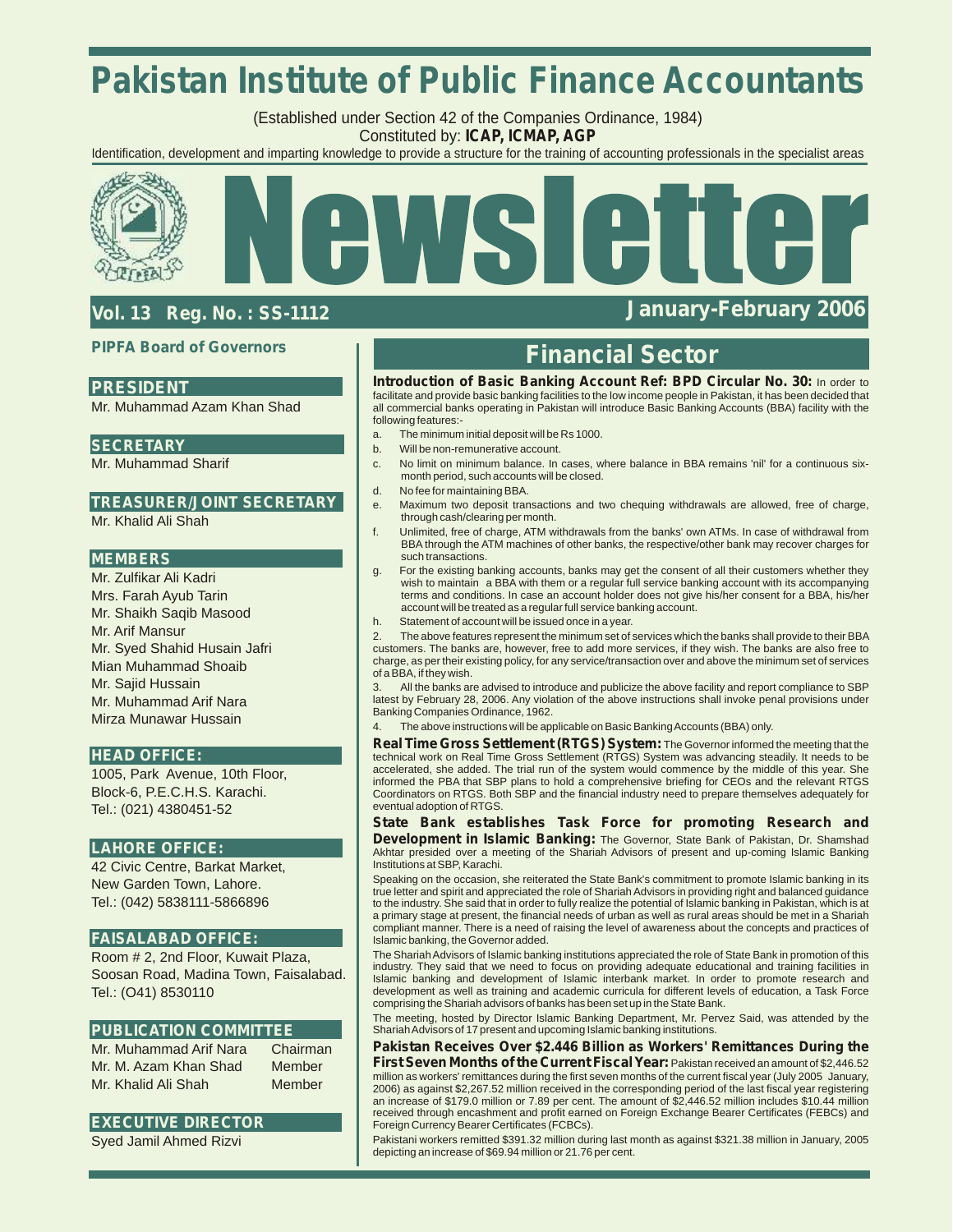# **Pakistan Institute of Public Finance Accountants**

(Established under Section 42 of the Companies Ordinance, 1984) Constituted by: **ICAP, ICMAP, AGP**

Identification, development and imparting knowledge to provide a structure for the training of accounting professionals in the specialist areas



# **Vol. 13 Reg. No. : SS-1112 January-February 2006**

### **PIPFA Board of Governors**

## **PRESIDENT**

Mr. Muhammad Azam Khan Shad

### **SECRETARY**

Mr. Muhammad Sharif

## **TREASURER/JOINT SECRETARY**

Mr. Khalid Ali Shah

### **MEMBERS**

Mr. Zulfikar Ali Kadri Mrs. Farah Ayub Tarin Mr. Shaikh Saqib Masood Mr. Arif Mansur Mr. Syed Shahid Husain Jafri Mian Muhammad Shoaib Mr. Sajid Hussain Mr. Muhammad Arif Nara Mirza Munawar Hussain

### **HEAD OFFICE:**

1005, Park Avenue, 10th Floor, Block-6, P.E.C.H.S. Karachi. Tel.: (021) 4380451-52

### **LAHORE OFFICE:**

42 Civic Centre, Barkat Market, New Garden Town, Lahore. Tel.: (042) 5838111-5866896

### **FAISALABAD OFFICE:**

Room # 2, 2nd Floor, Kuwait Plaza, Soosan Road, Madina Town, Faisalabad. Tel.: (O41) 8530110

### **PUBLICATION COMMITTEE**

Mr. Muhammad Arif Nara Chairman Mr. M. Azam Khan Shad Member Mr. Khalid Ali Shah Member

### **EXECUTIVE DIRECTOR**

Syed Jamil Ahmed Rizvi

# **Financial Sector**

**Introduction of Basic Banking Account Ref: BPD Circular No. 30:** In order to facilitate and provide basic banking facilities to the low income people in Pakistan, it has been decided that all commercial banks operating in Pakistan will introduce Basic Banking Accounts (BBA) facility with the following features:-

- a. The minimum initial deposit will be Rs 1000.
- b. Will be non-remunerative account.
- c. No limit on minimum balance. In cases, where balance in BBA remains 'nil' for a continuous sixmonth period, such accounts will be closed.
- d. No fee for maintaining BBA.
- e. Maximum two deposit transactions and two chequing withdrawals are allowed, free of charge, through cash/clearing per month.
- f. Unlimited, free of charge, ATM withdrawals from the banks' own ATMs. In case of withdrawal from BBA through the ATM machines of other banks, the respective/other bank may recover charges for such transactions.
- g. For the existing banking accounts, banks may get the consent of all their customers whether they wish to maintain a BBA with them or a regular full service banking account with its accompanying terms and conditions. In case an account holder does not give his/her consent for a BBA, his/her account will be treated as a regular full service banking account.
- h. Statement of account will be issued once in a year.

2. The above features represent the minimum set of services which the banks shall provide to their BBA customers. The banks are, however, free to add more services, if they wish. The banks are also free to charge, as per their existing policy, for any service/transaction over and above the minimum set of services of a BBA, if they wish.

All the banks are advised to introduce and publicize the above facility and report compliance to SBP latest by February 28, 2006. Any violation of the above instructions shall invoke penal provisions under Banking Companies Ordinance, 1962.

The above instructions will be applicable on Basic Banking Accounts (BBA) only.

**Real Time Gross Settlement (RTGS) System:** The Governor informed the meeting that the technical work on Real Time Gross Settlement (RTGS) System was advancing steadily. It needs to be accelerated, she added. The trial run of the system would commence by the middle of this year. She informed the PBA that SBP plans to hold a comprehensive briefing for CEOs and the relevant RTGS Coordinators on RTGS. Both SBP and the financial industry need to prepare themselves adequately for eventual adoption of RTGS.

**State Bank establishes Task Force for promoting Research and Development in Islamic Banking:** The Governor, State Bank of Pakistan, Dr. Shamshad Akhtar presided over a meeting of the Shariah Advisors of present and up-coming Islamic Banking Institutions at SBP, Karachi.

Speaking on the occasion, she reiterated the State Bank's commitment to promote Islamic banking in its true letter and spirit and appreciated the role of Shariah Advisors in providing right and balanced guidance to the industry. She said that in order to fully realize the potential of Islamic banking in Pakistan, which is at a primary stage at present, the financial needs of urban as well as rural areas should be met in a Shariah compliant manner. There is a need of raising the level of awareness about the concepts and practices of Islamic banking, the Governor added.

The Shariah Advisors of Islamic banking institutions appreciated the role of State Bank in promotion of this industry. They said that we need to focus on providing adequate educational and training facilities in Islamic banking and development of Islamic interbank market. In order to promote research and development as well as training and academic curricula for different levels of education, a Task Force comprising the Shariah advisors of banks has been set up in the State Bank.

The meeting, hosted by Director Islamic Banking Department, Mr. Pervez Said, was attended by the Shariah Advisors of 17 present and upcoming Islamic banking institutions.

**Pakistan Receives Over \$2.446 Billion as Workers' Remittances During the First Seven Months of the Current Fiscal Year:** Pakistan received an amount of \$2,446.52 million as workers' remittances during the first seven months of the current fiscal year (July 2005 January, 2006) as against \$2,267.52 million received in the corresponding period of the last fiscal year registering an increase of \$179.0 million or 7.89 per cent. The amount of \$2,446.52 million includes \$10.44 million received through encashment and profit earned on Foreign Exchange Bearer Certificates (FEBCs) and Foreign Currency Bearer Certificates (FCBCs).

Pakistani workers remitted \$391.32 million during last month as against \$321.38 million in January, 2005 depicting an increase of \$69.94 million or 21.76 per cent.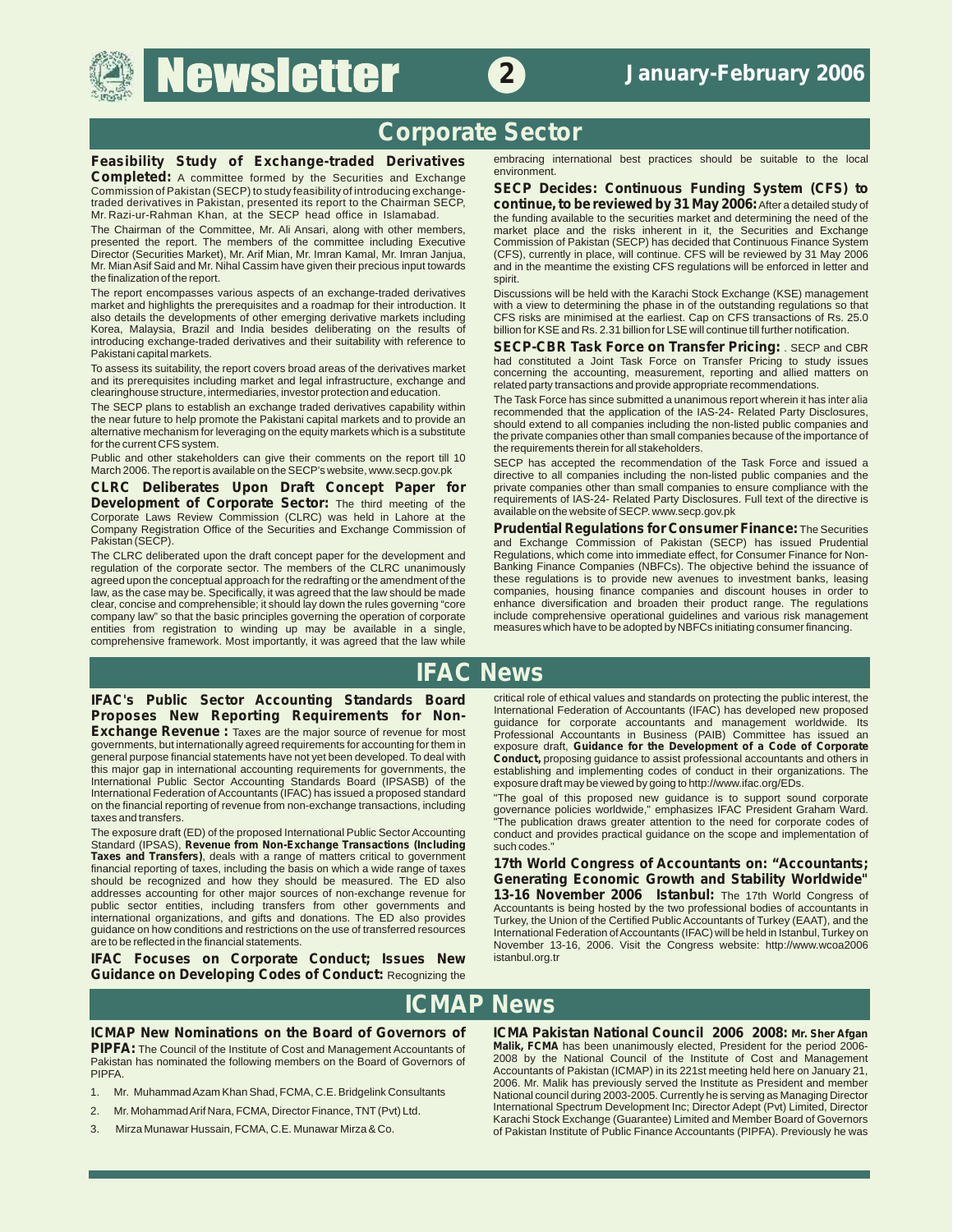# **Newsletter**



**2**

**Completed:** A committee formed by the Securities and Exchange-<br>Commission of Pakistan (SECP) to study feasibility of introducing exchange-Commission of Pakistan (SECP) to study feasibility of introducing exchange- **SECP Decides: Continuous Funding System (CFS) to** 

The Chairman of the Committee, Mr. Ali Ansari, along with other members, market place and the risks inherent in it, the Securities and Exchange presented the report. The members of the committee including Executive Commiss presented the report. The members of the committee including Executive Commission of Pakistan (SECP) has decided that Continuous Finance System<br>Director (Securities Market), Mr. Arif Mian, Mr. Imran Kamal, Mr. Imran Janjua Director (Securities Market), Mr. Arif Mian, Mr. Imran Kamal, Mr. Imran Janjua, (CFS), currently in place, will continue. CFS will be reviewed by 31 May 2006<br>Mr. Mian Asif Said and Mr. Nihal Cassim have given their preciou the finalization of the report.

The report encompasses various aspects of an exchange-traded derivatives<br>market and highlights the prerequisites and a roadmap for their introduction. It with a view to determining the phase in of the outstanding regulatio market and highlights the prerequisites and a roadmap for their introduction. It with a view to determining the phase in of the outstanding regulations so that also details the developments of other emerging derivative mar Korea, Malaysia, Brazil and India besides deliberating on the results of introducing exchange-traded derivatives and their suitability with reference to

**Development of Corporate Sector:** The third meeting of the requirements of IAS-24- Related Party Disclosures<br>Corporate Laws Review Commission (CLRC) was held in Lahore at the available on the website of SECP www.secp.gov.

regulation of the corporate sector. The members of the CLRC unanimously Banking Finance Companies (NBFCs). The objective behind the issuance of agreed upon the conceptual approach for the redrafting or the amendment of the agreed upon the conceptual approach for the redrafting or the amendment of the these regulations is to provide new avenues to investment banks, leasing<br>law, as the case may be. Specifically, it was agreed that the law shou law, as the case may be. Specifically, it was agreed that the law should be made companies, housing finance companies and discount houses in order to clear, concise and comprehensible; it should lay down the rules governin clear, concise and comprehensible; it should lay down the rules governing "core enhance diversification and broaden their product range. The regulations company law" so that the basic principles governing the operation of corporate include comprehensive operational guidelines and various risk managem<br>entities from registration to winding up may be available in a single. me entities from registration to winding up may be available in a single, comprehensive framework. Most importantly, it was agreed that the law while

**Feasibility Study of Exchange-traded Derivatives** embracing international best practices should be suitable to the local **international control of the control of the control of the suitable to the local environment.** 

traded derivatives in Pakistan, presented its report to the Chairman SECP, **continue, to be reviewed by 31 May 2006:**After a detailed study of Mr. Razi-ur-Rahman Khan, at the SECP head office in Islamabad. The funding available to the securities market and determining the need of the The Chairman of the Committee, Mr. Ali Ansari, along with other members, The fun and in the meantime the existing CFS regulations will be enforced in letter and spirit.

CFS risks are minimised at the earliest. Cap on CFS transactions of Rs. 25.0<br>billion for KSF and Rs. 2.31 billion for LSF will continue till further notification

introducing exchange-traded derivatives and their suitability with reference to<br>
To assess its suitability, the report covers broad areas of the derivatives market<br>
To assess its suitability, the report covers broad areas

Public and other stakeholders can give their comments on the report till 10<br>March 2006. The report is available on the SECP's website, www.secp.gov.pk<br> **CLRC** Deliberates Upon Draft Concept Paper for private companies othe **CLRC Deliberates Upon Draft Concept Paper** for private companies other than small companies to ensure compliance with the **Development** of **Corporate Sector:** The third meeting of the requirements of IAS-24- R

Company Registration Office of the Securities and Exchange Commission of **Prudential Regulations for Consumer Finance:** The Securities and Exchange Commission of Pakistan (SECP) has issued Prudential Regulations, which come into immediate effect, for Consumer Finance for Non-The CLRC deliberated upon the draft concept paper for the development and<br>
requiation of the corporate sector. The members of the CLRC unanimously Banking Finance Companies (NBFCs). The objective behind the issuance of

# **IFAC News**

critical role of ethical values and standards on protecting the public interest, the **IFAC's Public Sector Accounting Standards Board** 

governments, but internationally agreed requirements for accounting for them in exposure draft, **Guidance for the Development of a Code of Corporate**<br>general purpose financial statements have not yet been developed. To dea this major gap in international accounting requirements for governments, the establishing and implementing codes of conduct in their organizational Public Sector Accounting Standards Board (IPSASB) of the exposure draft ma International Public Sector Accounting Standards Board (IPSASB) of the International Federation of Accountants (IFAC) has issued a proposed standard International Federation of Accountants (IFAC) has issued a proposed standard "The goal of this proposed new guidance is to support sound corporate<br>International reporting of revenue from non-exchange transactions, includi on the financial reporting of revenue from non-exchange transactions, including<br>taxes and transfers.<br>The publication draws greater attention to the pead for corporate codes of

Standard (IPSAS), **Revenue from Non-Exchange Transactions (Including** such codes<br>**Taxes and Transfers**), deals with a range of matters critical to government **17th Money** *Taxes and Transfers)*, deals with a range of matters critical to government **17th World Congress of Accountants on: "Accountants; financial reporting of taxes**, including the basis on which a wide range of taxes **Genera** addresses accounting for other major sources of non-exchange revenue for **13-16 November 2006 Istanbul:** The 17th World Congress of public sector entities, including transfers from other governments and Accountants is being hosted by the two professional bodies of accountants in international organizations, and gifts and donations. The ED also provides international organizations, and gifts and donations. The ED also provides Turkey, the Union of the Certified Public Accountants of Turkey (EAAT), and the guidance on how conditions and restrictions on the use of transferr guidance on how conditions and restrictions on the use of transferred resources International Federation of Accountants (IFAC) will be held in Istanbul, Turkey on<br>International Federation of Accountants (IFAC) will be held

IFAC Focuses on Corporate Conduct; Issues New **Guidance on Developing Codes of Conduct:** Recognizing the

**Proposes New Reporting Requirements for Non-** International Federation of Accountants (IFAC) has developed new proposed in Proposed 15 Exchange Revenue : Taxes are the major source of revenue for most<br>governments, but internationally agreed requirements for accounting for them in exposure draft, Guidance for the Development of a Code of Corporate **Conduct,** proposing guidance to assist professional accountants and others in establishing and implementing codes of conduct in their organizations. The

taxes and transfers.<br>The publication draws greater attention to the need for corporate codes of<br>The exposure draft (ED) of the proposed International Public Sector Accounting conduct and provides practical quidance on the conduct and provides practical quidance on the scope and implementation of

> **Generating Economic Growth and Stability Worldwide"** November 13-16, 2006. Visit the Congress website: http://www.wcoa2006<br>istanbul.org.tr

# **ICMAP News**

Pakistan has nominated the following members on the Board of Governors of PIPFA

- 
- 
- 

**ICMAP New Nominations on the Board of Governors of ICMA Pakistan National Council 2006 2008: Mr. Sher Afgan <b>PIPFA:** The Council of the Institute of Cost and Management Accountants of Malik, FCMA has been unanimously elec PIPFA: The Council of the Institute of Cost and Management Accountants of Malik, FCMA has been unanimously elected, President for the period 2006-<br>Pakistan has nominated the following members on the Board of Governors of 2 Accountants of Pakistan (ICMAP) in its 221st meeting held here on January 21, 2006. Mr. Malik has previously served the Institute as President and member 1. Mr. Muhammad Azam Khan Shad, FCMA, C.E. Bridgelink Consultants National council during 2003-2005. Currently he is serving as Managing Director 2 Mr. Mohammad Arif Nara, FCMA, Director Finance, TNT (Pvt) Ltd. International Spectrum Development Inc; Director Adept (Pvt) Limited, Director Karachi Stock Exchange (Guarantee) Limited and Member Board of Governors 3. Mirza Munawar Hussain, FCMA, C.E. Munawar Mirza & Co. of Pakistan Institute of Public Finance Accountants (PIPFA). Previously he was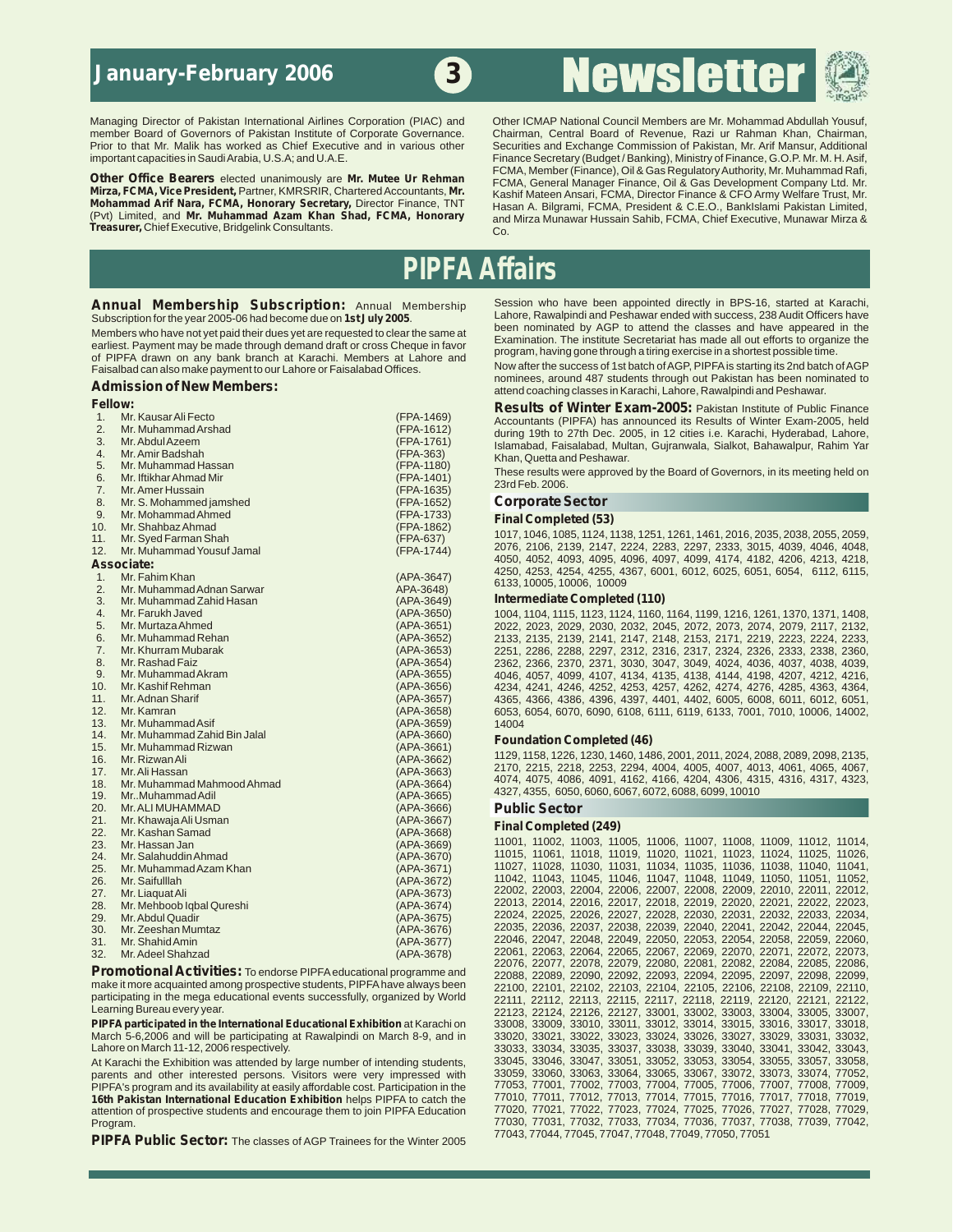# **January-February 2006**

# **Newsletter**



**Treasurer,** Chief Executive, Bridgelink Consultants. Co.

Managing Director of Pakistan International Airlines Corporation (PIAC) and Other ICMAP National Council Members are Mr. Mohammad Abdullah Yousuf, member Board of Governors of Pakistan Institute of Corporate Governance. Ch member Board of Governors of Pakistan Institute of Corporate Governance. Chairman, Central Board of Revenue, Razi ur Rahman Khan, Chairman, Prior to that Mr. Mailk has worked as Chief Executive and in various other Securit Securities and Exchange Commission of Pakistan, Mr. Arif Mansur, Additional important capacities in Saudi Arabia, U.S.A; and U.A.E.<br>Finance Secretary (Budget / Banking), Ministry of Finance, G.O.P. Mr. M. H. Asif, Finance Secretary (Budget / B<br>Cas Regulatory Authority, Mr. Muhammad Rafi, Other Office Bearers elected unanimously are Mr. Mutee Ur Rehman FCMA, Member (Finance), Oil & Gas Regulatory Authority, Mr. Muhammad Rafi,<br>Mirza, FCMA, Vice President, Partner, KMRSRIR, Chartered Accountants, Mr. Kashif M (Pvt) Limited, and **Mr. Muhammad Azam Khan Shad, FCMA, Honorary** and Mirza Munawar Hussain Sahib, FCMA, Chief Executive, Munawar Mirza &

# **PIPFA Affairs**

**3**

Members who have not yet paid their dues yet are requested to clear the same at<br>earliest. Payment may be made through demand draft or cross Cheque in favor<br>of PIDEA, drawn on any bonk branch at Karachi, Mambers, at Jabara of PIPFA drawn on any bank branch at Karachi. Members at Lahore and program, naving gone through a timp exercise in a shortest possible time.<br>Eaisalbad can also make nayment to our Labore or Faisalabad Offices Now after th

## **Fellow:**<br>1. Mr. Kausar Ali Fecto **Alice Contrary (FRA-1469) Results of Winter Exam-2005:** Pakistan Institute of Public Finance 4. Mr. Amir Badshah (FPA-363) Khan, Quetta and Peshawar.<br>5. Mr. Muhammad Hassan (FPA-1180) – The Communication of the Communication of the Communication of the Communi 5. Muhammad Hassan (FPA-1190) (FPA-1190) These results were approved by the Board of Governors, in its meeting held on<br>6. Mr. Iffikhar Ahmad Mir 6. Mr. Iftikhar Ahmad Mir (FPA-1401) 23rd Feb. 2006. 7. Mr. Amer Hussain (FPA-1635) 8. Mr. S. Mohammed jamshed **(FPA-1652) Corporate Sector** (FPA-1652) **Corporate Sector**<br>9. Mr. Mohammad Ahmed (FPA-1733) **Cinal Completed (52** 9. Mr. Mohammad Ahmed (FPA-1733) **Final Completed (53)**<br>10. Mr. Shahbaz Ahmad (FPA-1862) 1017, 1046, 1085, 1124, 1<br>11. Mr. Syed Farman Shah 10. Mi. Shaliyaz Anima<br>11. Mr. Syed Farman Shah (FPA-637) (FPA-637) 1017, 1046, 1085, 1124, 1138, 1251, 1261, 1461, 2016, 2035, 2038, 2055, 2059,<br>12. Mr. Muhammad Yousuf Jamal (FPA-1744) 2076, 2106, 2139, 2147, 2224, 2283, 1. Mr. Fahim Khan (APA-3647) 6133, 10005, 10006, 10009 2. Mr. Muhammad Adnan Sarwar APA-3648) 3. Mr. Muhammad Zahid Hasan (APA-3649) **Intermediate Completed (110)** 4. Mr. Farukh Javed (APA-3650) 1004, 1104, 1115, 1123, 1124, 1160, 1164, 1199, 1216, 1261, 1370, 1371, 1408, 1<br>5. Mr. Murtaza Ahmed (APA-3651) 2022, 2023, 2029, 2030, 2032, 2045, 2072, 2073, 2074, 2079, 2117, 2132, 12. Mr. Kamran (APA-3658) 6053, 6054, 6070, 6090, 6108, 6111, 6119, 6133, 7001, 7010, 10006, 14002, 13. Mr. Muhammad Asif (APA-3659)<br>14. Mr. Muhammad Zahid Bin Jalal 14. Mr. Muhammad Zahid Bin Jalal (APA-3660) **Foundation Completed (46)** 15. Mr. Muhammad Rizwan (APA-3661) 17. - Mir.Airliassari - Marchistan (APA-3064) - 1986, 4074, 4075, 4086, 4091, 4162, 4166, 4204, 4306, 4315, 4316, 4317, 4323, 18. Mr.Muhammad Mahmood Ahmad - 1986, 1986, 1986, 1987, 1987, 4306, 4317, 4323, 1988, 1998, 1001 10. Mr. Muhammad Malinicody (1888)<br>19. Mr. Muhammad Adil (APA-3665) 4327, 4355, 6050, 6060, 6067, 6072, 6088, 6099, 10010<br>20. Mr. ALI MUHAMMAD (APA-3666) Public Sector 20. Mr. ALI MUHAMMAD (APA-3666) **Public Sector** 21. Mr. Khawaja Ali Usman (APA-3667) **Final Completed (249)** 22. Mr. Kashan Samad (APA-3668) 23. Mr. Hassan Jam<br>23. Mr. Hassan Jan (1999, 1999, 1999, 1999, 1999, 1999, 1999, 1999, 1999, 1999, 1999, 1006, 11006, 11006, 11007, 11008, 11009, 11012, 11014, 12025, 11026, 11026, 11026, 11026, 11026, 11026, 11026, 11026, Mr. Hassan Jan Mr. Salahuddin Ahmad Mr. Muhammad Azam Khan (APA-3672) Mr. Liaquat Ali Mr. Mehhoob Ighal Qureshi Mr. Abdul Quadir Mr Zeeshan Mumtaz Mr Shahid Amin Mr. Adeel Shahzad

**PIPFA participated in the International Educational Exhibition at Karachi on March 5-6, 2006 and will be participating at Rawalpindi on March 8-9, and in** March 5-6,2006 and will be participating at Rawalpindi on March 8-9, and in 33020, 33021, 33022, 33023, 33024, 330226, 33027, 33029, 33031, 33032, 33031, 33032, <br>Lahore on March 11-12. 2006 respectively.

parents and other interested persons. Visitors were very impressed with 33059, 33060, 33063, 33064, 33065, 33067, 33072, 33073, 33074, 77052,<br>PIPFA's program and its availability at easily affordable cost Participation in PIPFA's program and its availability at easily affordable cost. Participation in the 77053, 77001, 77002, 77003, 77004, 77006, 77006, 77007, 77008, 77009,<br>**16th Pakistan International Education Exhibition** helps PIPFA to c **16th Pakistan International Education Exhibition** helps PIPFA to catch the 77010, 77011, 77012, 77013, 77014, 77015, 77016, 77017, 77018, 77019, 77018, 77019, 77018, 77019, 77018, 77019, 77028, 77028, 77028, 77028, 77027, attention of prospective students and encourage them to join PIPFA Education<br>Program.

PIPFA Public Sector: The classes of AGP Trainees for the Winter 2005

**Annual Membership Subscription:** Annual Membership Session who have been appointed directly in BPS-16, started at Karachi,<br>Subscription for the year 2005-06 had become due on 1st July 2005 Lahore, Rawalpindi and Peshawar Subscription for the year 2005-06 had become due on **1st July 2005**. Lahore, Rawalpindi and Peshawar ended with success, 238 Audit Officers have<br>Mombors who have appeared in the water for the sequested to clear the same at

Faisalbad can also make payment to our Lahore or Faisalabad Offices. Now after the success of 1st batch of AGP, PIPFA is starting its 2nd batch of AGP, FIPFA is starting its 2nd batch of AGP, FIPFA is starting its 2nd batc nominees, around 487 students through out Pakistan has been nominated to aching classes in Karachi, Lahore, Rawalpindi and Peshawar.<br> **Posults of Winter Exam-2005:** Pekistan bettute of Public

1. Mr. Kausar Ali Fecto (FPA-1469) Accountants (PIPFA) has announced its Results of Winter Exam-2005, held<br>2. Mr. Muhammad Arshad (FPA-1612) during 19th to 27th Dec 2005 in 12 cities i.e. Karashi, Undershad Johanne 2. Mr. Muhammad Arshad (FPA-1612) during 19th to 27th Dec. 2005, in 12 cities i.e. Karachi, Hyderabad, Lahore,<br>3. Mr. Abdul Azeem (FPA-1761) demobel Esisebbed, Multen Cuireaugh, Solket, Pebeurelaus Pebim Ver 3. Mr. Abdul Azeem (FPA-1761) Islamabad, Faisalabad, Multan, Gujranwala, Sialkot, Bahawalpur, Rahim Yar

11. Mr. Syed Farman Shah<br>12. Mr. Muhammad Yousuf Jamal (Alexandre 1990) (FPA-1744) 2076, 2106, 2139, 2147, 2224, 2283, 2297, 2333, 3015, 4039, 4046, 4048,<br>Associate: 12. Mr. Muhammad Yousuf Jamal (FPA-1744) 4050, 4052, 409 4050, 4052, 4093, 4095, 4096, 4097, 4099, 4174, 4182, 4206, 4213, 4218, **Associate:** 4250, 4253, 4254, 4255, 4367, 6001, 6012, 6025, 6051, 6054, 6112, 6115,

5. Mr. Murtaza Ahmed (APA-3651) 2022, 2023, 2029, 2030, 2032, 2045, 2072, 2073, 2074, 2079, 2117, 2132, 30. Mr<br>6. Mr. Muhammad Rehan (APA-3652) 2133, 2135, 2139, 2141, 2147, 2148, 2153, 2171, 2219, 2223, 2224, 2233, 3238<br>7 8. Mr. Rashad Faiz (APA-3654) 2362, 2366, 2370, 2371, 3030, 3047, 3049, 4024, 4036, 4037, 4038, 4039, 9. Mr. Muhammad Akram (APA-3655) 4046, 4057, 4099, 4107, 4134, 4135, 4138, 4144, 4198, 4207, 4212, 4216, 10. Mr. Kashif Rehman (APA-3656) 4234, 4241, 4246, 4252, 4253, 4257, 4262, 4274, 4276, 4285, 4363, 4364, 11. Mr. Adnan Sharif (APA-3657) 4365, 4366, 4386, 4396, 4397, 4401, 4402, 6005, 6008, 6011, 6012, 6051,

1129, 1129, 1129, 1128, 1226, 1230, 1460, 1486, 2001, 2011, 2024, 2088, 2089, 2098, 2135, 16. Mr. Rizwan Ali (<br>16. Mr. Rizwan Ali (APA-3062) 1129, 1129, 1129, 2215, 2218, 2225, 2294, 4004, 4005, 4007, 4013, 4061, 4065, 406 2170, 2218, 2218, 2218, 2253, 2294, 4004, 4005, 4007, 4013, 4061, 4065, 4067, 407, 4006, 4067, 4008, 4067, 40<br>17. Mr. Ali Hassan (APA-3663) 4074, 4075, 4086, 4091, 4162, 4166, 4204, 4306, 4315, 4316, 4317, 4323, 4323, 4<br>18

24. Mr 11015, 11061, 11018, 11019, 11020, 11021, 11023, 11024, 11025, 11026, 25. Mr. Muhammad Azam Khan (1994-3671) (1994-3671) 11027, 11028, 11030, 11031, 11034, 11035, 11036, 11038, 11040, 11041, 11041, 11041, 11041, 11041, 11041, 11041, 11041, 11041, 11041, 11041, 11041, 11040, 11051, 11052, 110 26. Mr 11042, 11043, 11045, 11046, 11047, 11048, 11049, 11050, 11051, 11052, 27. Mr. Liaquat Ali<br>27. Mr. Liaquat Ali<br>28. Mr. Mehhoob Ighal Oureshi (APA-3674) 22013, 22014, 22014, 22016, 22017, 22018, 22019, 22020, 22021, 22022, 22023, 28. Mr 22013, 22014, 22016, 22017, 22018, 22019, 22020, 22021, 22022, 22023, 29. Mr. Abdul Quadir Quadir (1.55, 1.66)<br>29. Mr. Abdul Quadir (1.66, 1.66, 1.66, 1.66, 1.66, 1.66, 1.66, 1.67, 1.67, 1.67, 1.67, 1.67, 1.67, 1.67, 1.6<br>20035, 22035, 22035, 22035, 22035, 22037, 22038, 22039, 22030, 22040, 2 30. Mr 22035, 22036, 22037, 22038, 22039, 22040, 22041, 22042, 22044, 22045, كان المساحة المساحة المسلحة المسلحة (11/2004) (11/2004), 22046, 22047, 22048, 22049, 22050, 22053, 22054, 22058, 22059, 22060, 22053, 22059, 22060, 23059, 22060, 23059, 22060, 22073, 22073, 22073, 22073, 22073, 22073, 220 32. Mr.Adeel Shahzad<br>32. Mr.Adeel Shahzad<br>**Dramational Activities: The Hotel Shahzad** (APR-3678) 22076, 22077, 22078, 22079, 22089, 22080, 22081, 22082, 22084, 22085, 22086, **Promotional Activities:** To endorse PIPFA educational programme and<br>
make it more acquainted among prospective students, PIPFA have always been 22088, 22089, 22090, 22097, 22094, 22094, 22095, 22097, 22098, 22099, 22099, make it more acquainted among prospective students, PIPFA have always been 22100, 22101, 22102, 22103, 22104, 22105, 22106, 22108, 22109, 22110,<br>participating in the mega educational events successfully, organized by World Learning Bureau every year. 23105, 23107, 22124, 22124, 22124, 22126, 22127, 33001, 33002, 33003, 33004, 33005, 33007, 33007, 33005, 33007, 33007, 22127, 22126, 22127, 33001, 33002, 33003, 33004, 33005, 33007, 33007, 23007 33033, 33034, 33035, 33037, 33038, 33039, 33040, 33041, 33042, 33043, 33043, 33043, 33043, 33043, 33043, 33048 At Karachi the Exhibition was attended by large number of intending students,  $33045$ , 33045, 33047, 33051, 33052, 33053, 33054, 33055, 33057, 33058, 33057, 33058, 33072, 23073, 33074, 77052, 23073, 33074, 77052, 23073, 33 Program. 77030, 77031, 77032, 77033, 77034, 77036, 77037, 77038, 77039, 77042,